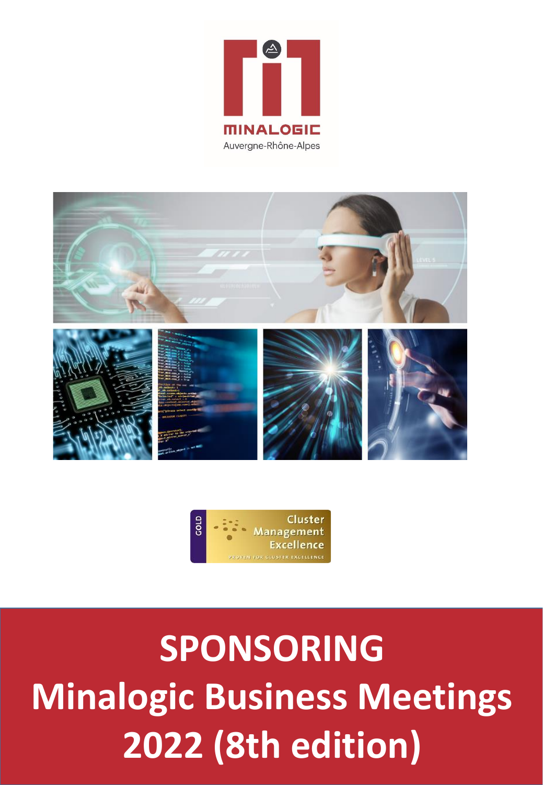





**SPONSORING PACKAGES 2022 (8th edition) SPONSORING Minalogic Business Meetings**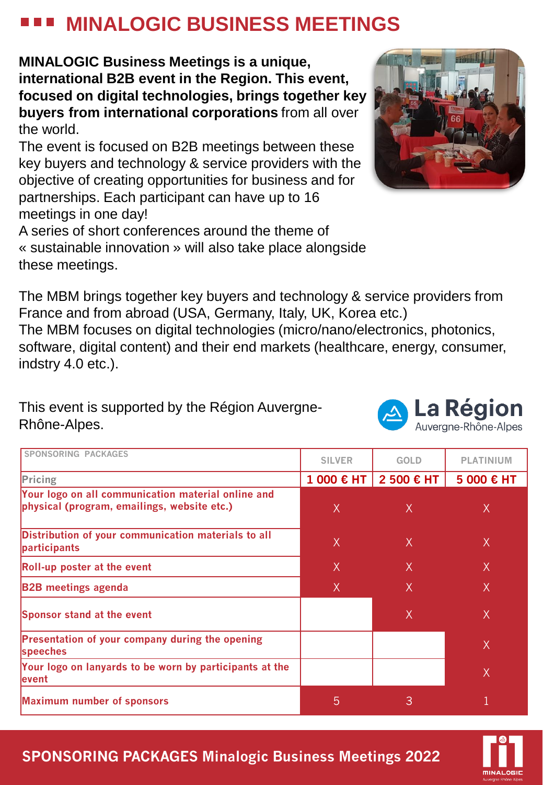### **MINALOGIC BUSINESS MEETINGS**

**MINALOGIC Business Meetings is a unique, international B2B event in the Region. This event, focused on digital technologies, brings together key buyers from international corporations** from all over the world.

The event is focused on B2B meetings between these key buyers and technology & service providers with the objective of creating opportunities for business and for partnerships. Each participant can have up to 16 meetings in one day!

A series of short conferences around the theme of « sustainable innovation » will also take place alongside these meetings.

The MBM brings together key buyers and technology & service providers from France and from abroad (USA, Germany, Italy, UK, Korea etc.) The MBM focuses on digital technologies (micro/nano/electronics, photonics, software, digital content) and their end markets (healthcare, energy, consumer, indstry 4.0 etc.).

#### This event is supported by the Région Auvergne-Rhône-Alpes.

| SPONSORING PACKAGES                                                                               | <b>SILVER</b> | <b>GOLD</b>  | <b>PLATINIUM</b> |
|---------------------------------------------------------------------------------------------------|---------------|--------------|------------------|
| Pricing                                                                                           | 1 000 € HT    | 2 500 € HT   | 5 000 € HT       |
| Your logo on all communication material online and<br>physical (program, emailings, website etc.) | X             | $\mathsf{X}$ | X                |
| Distribution of your communication materials to all<br>participants                               | $\chi$        | $\chi$       | X                |
| Roll-up poster at the event                                                                       | $\chi$        | $\chi$       | $\chi$           |
| <b>B2B</b> meetings agenda                                                                        | X             | X.           | X                |
| Sponsor stand at the event                                                                        |               | X            | X                |
| <b>Presentation of your company during the opening</b><br>speeches                                |               |              | X                |
| Your logo on lanyards to be worn by participants at the<br>levent                                 |               |              | X                |
| <b>Maximum number of sponsors</b>                                                                 | 5             | 3            |                  |



La Région Auverane-Rhône-Alpes

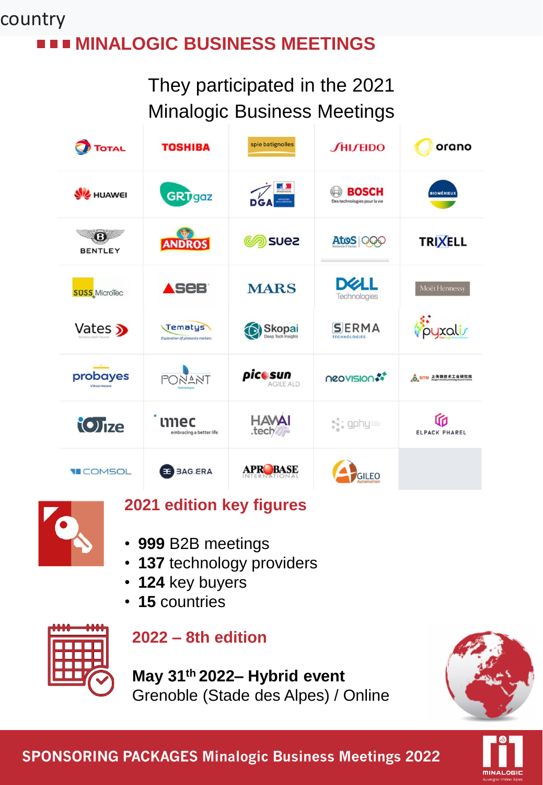#### **MINALOGIC BUSINESS MEETINGS** country

They participated in the 2021 Minalogic Business Meetings





#### **2021 edition key figures**

- **999** B2B meetings
- **137** technology providers
- **124** key buyers
- **15** countries



#### **2022 – 8th edition**

**May 31th 2022– Hybrid event** Grenoble (Stade des Alpes) / Online





**SPONSORING PACKAGES Minalogic Business Meetings 2022**